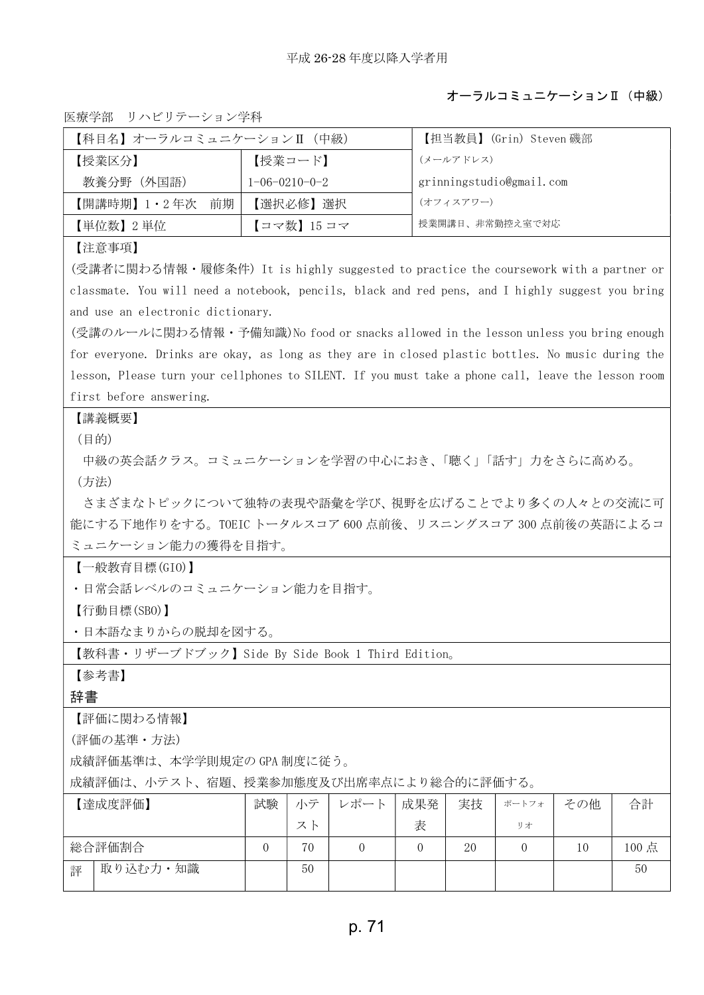## オーラルコミュニケーションⅡ(中級)

医療学部 リハビリテーション学科

| 【科目名】オーラルコミュニケーションⅡ(中級)                                                                             |          |                         |          |                | 【担当教員】 (Grin) Steven 磯部  |          |     |      |  |
|-----------------------------------------------------------------------------------------------------|----------|-------------------------|----------|----------------|--------------------------|----------|-----|------|--|
| 【授業区分】                                                                                              |          | 【授業コード】                 |          |                | (メールアドレス)                |          |     |      |  |
| 教養分野(外国語)                                                                                           |          | $1 - 06 - 0210 - 0 - 2$ |          |                | grinningstudio@gmail.com |          |     |      |  |
| 【開講時期】1・2年次<br>前期                                                                                   |          | 【選択必修】選択                |          |                | (オフィスアワー)                |          |     |      |  |
| 【単位数】2 単位                                                                                           |          | 【コマ数】15 コマ              |          |                | 授業開講日、非常勤控え室で対応          |          |     |      |  |
| 【注意事項】                                                                                              |          |                         |          |                |                          |          |     |      |  |
| (受講者に関わる情報・履修条件)It is highly suggested to practice the coursework with a partner or                 |          |                         |          |                |                          |          |     |      |  |
| classmate. You will need a notebook, pencils, black and red pens, and I highly suggest you bring    |          |                         |          |                |                          |          |     |      |  |
| and use an electronic dictionary.                                                                   |          |                         |          |                |                          |          |     |      |  |
| (受講のルールに関わる情報・予備知識)No food or snacks allowed in the lesson unless you bring enough                  |          |                         |          |                |                          |          |     |      |  |
| for everyone. Drinks are okay, as long as they are in closed plastic bottles. No music during the   |          |                         |          |                |                          |          |     |      |  |
| lesson, Please turn your cellphones to SILENT. If you must take a phone call, leave the lesson room |          |                         |          |                |                          |          |     |      |  |
| first before answering.                                                                             |          |                         |          |                |                          |          |     |      |  |
| 【講義概要】                                                                                              |          |                         |          |                |                          |          |     |      |  |
| (目的)                                                                                                |          |                         |          |                |                          |          |     |      |  |
| 中級の英会話クラス。コミュニケーションを学習の中心におき、「聴く」「話す」力をさらに高める。                                                      |          |                         |          |                |                          |          |     |      |  |
| (方法)                                                                                                |          |                         |          |                |                          |          |     |      |  |
| さまざまなトピックについて独特の表現や語彙を学び、視野を広げることでより多くの人々との交流に可                                                     |          |                         |          |                |                          |          |     |      |  |
| 能にする下地作りをする。TOEIC トータルスコア 600 点前後、リスニングスコア 300 点前後の英語によるコ                                           |          |                         |          |                |                          |          |     |      |  |
| ミュニケーション能力の獲得を目指す。                                                                                  |          |                         |          |                |                          |          |     |      |  |
| 【一般教育目標(GIO)】                                                                                       |          |                         |          |                |                          |          |     |      |  |
| ・日常会話レベルのコミュニケーション能力を目指す。                                                                           |          |                         |          |                |                          |          |     |      |  |
| 【行動目標(SBO)】                                                                                         |          |                         |          |                |                          |          |     |      |  |
| ・日本語なまりからの脱却を図する。                                                                                   |          |                         |          |                |                          |          |     |      |  |
| 【教科書・リザーブドブック】Side By Side Book 1 Third Edition。                                                    |          |                         |          |                |                          |          |     |      |  |
| 【参考書】                                                                                               |          |                         |          |                |                          |          |     |      |  |
| 辞書                                                                                                  |          |                         |          |                |                          |          |     |      |  |
| 【評価に関わる情報】                                                                                          |          |                         |          |                |                          |          |     |      |  |
| (評価の基準・方法)                                                                                          |          |                         |          |                |                          |          |     |      |  |
| 成績評価基準は、本学学則規定の GPA 制度に従う。                                                                          |          |                         |          |                |                          |          |     |      |  |
| 成績評価は、小テスト、宿題、授業参加態度及び出席率点により総合的に評価する。                                                              |          |                         |          |                |                          |          |     |      |  |
| 【達成度評価】                                                                                             | 試験       | 小テ                      | レポート     | 成果発            | 実技                       | ポートフォ    | その他 | 合計   |  |
|                                                                                                     |          | スト                      |          | 表              |                          | リオ       |     |      |  |
| 総合評価割合                                                                                              | $\Omega$ | 70                      | $\Omega$ | $\overline{0}$ | 20                       | $\Omega$ | 10  | 100点 |  |
| 取り込む力・知識<br>評                                                                                       |          | 50                      |          |                |                          |          |     | 50   |  |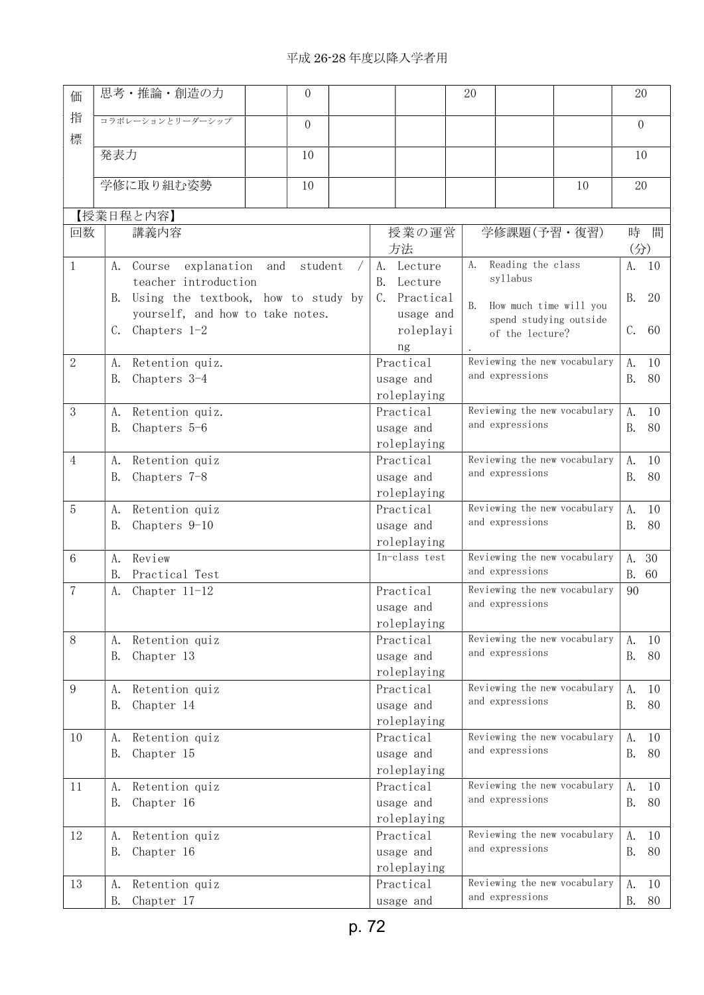## 平成 26-28 年度以降入学者用

| 価              | 思考・推論・創造の力                                | $\overline{0}$                   |  |                          | 20                                              |                        | 20                        |     |
|----------------|-------------------------------------------|----------------------------------|--|--------------------------|-------------------------------------------------|------------------------|---------------------------|-----|
| 指<br>標         | コラボレーションとリーダーシップ                          | $\overline{0}$                   |  |                          |                                                 |                        | $\Omega$                  |     |
|                | 発表力                                       | 10                               |  |                          |                                                 |                        | 10                        |     |
|                | 学修に取り組む姿勢                                 | 10                               |  |                          |                                                 | 10                     | 20                        |     |
|                |                                           |                                  |  |                          |                                                 |                        |                           |     |
|                | 【授業日程と内容】                                 |                                  |  |                          |                                                 |                        |                           |     |
| 回数             | 講義内容                                      |                                  |  | 授業の運営<br>方法              | 学修課題(予習·復習)                                     |                        | 時<br>$(\nleftrightarrow)$ | 間   |
| $\mathbf{1}$   | explanation<br>A.<br>Course               | and<br>student                   |  | A. Lecture               | Reading the class<br>A.                         |                        | A.                        | -10 |
|                | teacher introduction                      |                                  |  | Lecture<br>B.            | syllabus                                        |                        |                           |     |
|                | Using the textbook, how to study by<br>B. |                                  |  | Practical<br>C.          | <b>B.</b><br>How much time will you             |                        | <b>B.</b>                 | 20  |
|                |                                           | yourself, and how to take notes. |  | usage and                |                                                 | spend studying outside |                           |     |
|                | Chapters 1-2<br>C.                        |                                  |  | roleplayi                | of the lecture?                                 |                        | C.                        | 60  |
|                |                                           |                                  |  | ng                       |                                                 |                        |                           |     |
| $\mathbf{2}$   | Retention quiz.<br>A.                     |                                  |  | Practical                | Reviewing the new vocabulary                    |                        | A.                        | 10  |
|                | Chapters 3-4<br>В.                        |                                  |  | usage and                | and expressions                                 |                        | <b>B.</b>                 | 80  |
|                |                                           |                                  |  | roleplaying              |                                                 |                        |                           |     |
| $\mathbf{3}$   | Retention quiz.<br>A.                     |                                  |  | Practical                | Reviewing the new vocabulary                    |                        | A.                        | 10  |
|                | Chapters 5-6<br>В.                        |                                  |  | usage and                | and expressions                                 |                        | B.                        | 80  |
|                |                                           |                                  |  | roleplaying              |                                                 |                        |                           |     |
| $\overline{4}$ | А.<br>Retention quiz                      |                                  |  | Practical                | Reviewing the new vocabulary                    |                        | A.                        | 10  |
|                | Chapters 7-8<br>В.                        |                                  |  | usage and                | and expressions                                 |                        | <b>B.</b>                 | 80  |
|                |                                           |                                  |  | roleplaying              |                                                 |                        |                           |     |
| 5              | Retention quiz<br>Α.                      |                                  |  | Practical                | Reviewing the new vocabulary                    |                        | A.                        | 10  |
|                | Chapters 9-10<br>В.                       |                                  |  | usage and                | and expressions                                 |                        | <b>B.</b>                 | 80  |
|                |                                           |                                  |  | roleplaying              |                                                 |                        |                           |     |
| 6              | Review<br>A.                              |                                  |  | In-class test            | Reviewing the new vocabulary                    |                        | A.                        | 30  |
|                | Practical Test<br>B.                      |                                  |  |                          | and expressions                                 |                        | <b>B.</b>                 | 60  |
| 7              | Chapter 11-12<br>А.                       |                                  |  | Practical                | Reviewing the new vocabulary                    |                        | 90                        |     |
|                |                                           |                                  |  | usage and                | and expressions                                 |                        |                           |     |
|                |                                           |                                  |  | roleplaying              |                                                 |                        |                           |     |
| 8              | Retention quiz<br>A.                      |                                  |  | Practical                | Reviewing the new vocabulary<br>and expressions |                        | A.                        | 10  |
|                | Chapter 13<br>B.                          |                                  |  | usage and                |                                                 |                        | <b>B.</b>                 | 80  |
|                |                                           |                                  |  | roleplaying              |                                                 |                        |                           |     |
| 9              | Retention quiz<br>A.                      |                                  |  | Practical                | Reviewing the new vocabulary<br>and expressions |                        | A.                        | 10  |
|                | Chapter 14<br>В.                          |                                  |  | usage and                |                                                 |                        | <b>B.</b>                 | 80  |
|                |                                           |                                  |  | roleplaying              | Reviewing the new vocabulary                    |                        |                           |     |
| 10             | Retention quiz<br>A.                      |                                  |  | Practical                | and expressions                                 |                        | A.<br><b>B.</b>           | 10  |
|                | Chapter 15<br>B.                          |                                  |  | usage and<br>roleplaying |                                                 |                        |                           | 80  |
| 11             | Retention quiz<br>A.                      |                                  |  | Practical                | Reviewing the new vocabulary                    |                        | A.                        | 10  |
|                | Chapter 16<br><b>B.</b>                   |                                  |  | usage and                | and expressions                                 |                        | <b>B.</b>                 | 80  |
|                |                                           |                                  |  | roleplaying              |                                                 |                        |                           |     |
| 12             | Retention quiz<br>Α.                      |                                  |  | Practical                | Reviewing the new vocabulary                    |                        | A.                        | 10  |
|                | <b>B.</b><br>Chapter 16                   |                                  |  | usage and                | and expressions                                 |                        | <b>B.</b>                 | 80  |
|                |                                           |                                  |  | roleplaying              |                                                 |                        |                           |     |
| 13             | Retention quiz<br>A.                      |                                  |  | Practical                | Reviewing the new vocabulary                    |                        | A.                        | 10  |
|                | Chapter 17<br><b>B.</b>                   |                                  |  | usage and                | and expressions                                 |                        | <b>B.</b>                 | 80  |
|                |                                           |                                  |  |                          |                                                 |                        |                           |     |